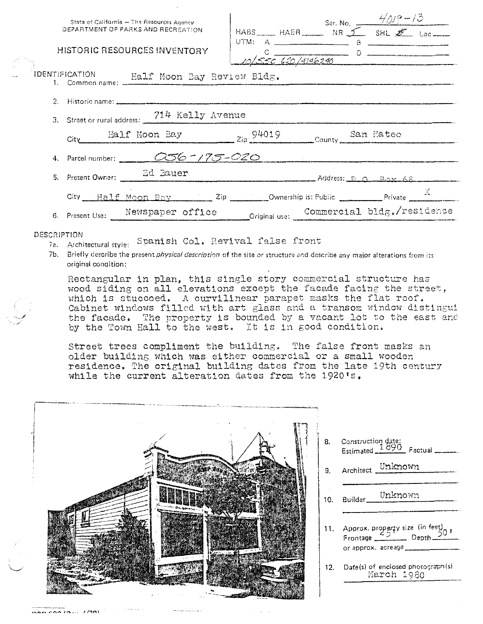| DEPARTMENT OF PARKS AND RECREATION           | State of California - The Resources Agency                  |  | MABS HAER Ser. No. $\frac{4/0.9-13}{5}$<br>MR $\frac{2}{\sqrt{10}}$ SHL $\frac{25}{\sqrt{10}}$ Loc |  |  |                              |  |  |
|----------------------------------------------|-------------------------------------------------------------|--|----------------------------------------------------------------------------------------------------|--|--|------------------------------|--|--|
| HISTORIC RESOURCES INVENTORY                 |                                                             |  |                                                                                                    |  |  | 0<br>10/55C 620/4146240      |  |  |
| IDENTIFICATION Half Moon Bay Review Bldg.    |                                                             |  |                                                                                                    |  |  |                              |  |  |
|                                              |                                                             |  |                                                                                                    |  |  |                              |  |  |
| 3. Street or rural address: 714 Kelly Avenue |                                                             |  |                                                                                                    |  |  |                              |  |  |
| City                                         | Ealf Moon Bay 2ip 94019 County San Mateo                    |  |                                                                                                    |  |  |                              |  |  |
| 4. Parcel number: 256 - 175 - 020            |                                                             |  |                                                                                                    |  |  |                              |  |  |
| 5. Present Owner: 2d Bauer                   |                                                             |  |                                                                                                    |  |  | $A$ ddress: $R_A$ $R_B$ $68$ |  |  |
|                                              | City Half Moon Bay Zip Ownership is: Public Private Private |  |                                                                                                    |  |  |                              |  |  |
| 6. Present Use: Newspaper office             |                                                             |  | Original use: Commercial bldg./residence                                                           |  |  |                              |  |  |

#### DESCRIPTION

- 7a. Architectural style: Spanish Col. Revival false front
- 7b. Briefly describe the present *physical description* of the site or structure and describe any major alterations from its original condition:

Rectangular in plan, this single story commercial structure has wood siding on all elevations except the facade facing the street, which is stuccoed. A curvilinear parapet masks the flat roof. Cabinet windows filled with art glass and a transom window distingui the facade. The property is bounded by a vacant lot to the east and by the Town Hall to the west. It is in good condition.

Street trees compliment the building. The false front masks an older building which was either commercial or a small wooden residence. The original building dates from the late 19th century while the current alteration dates from the 1920's.

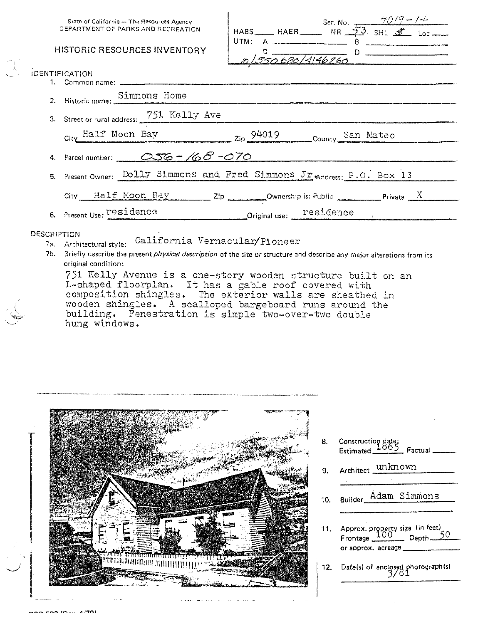# **HISTORIC RESOURCES INVENTORY**

|      |                                                             | Ser. No. $\frac{70/9 - 1}{20}$ |  |
|------|-------------------------------------------------------------|--------------------------------|--|
|      | HABS $HABB$ $N = \frac{53}{8}$ $S H L \frac{8}{8}$ $L_{OC}$ |                                |  |
| UTM: | $\mathbb A$                                                 |                                |  |
|      |                                                             |                                |  |
|      | 0/550680/4146260                                            |                                |  |
|      |                                                             |                                |  |
|      |                                                             |                                |  |
|      |                                                             |                                |  |

| 2. Historic name: Simmons Home                                                                                                     |
|------------------------------------------------------------------------------------------------------------------------------------|
| 3. Street or rural address: 751 Kelly Ave                                                                                          |
| City Half Moon Bay 2ip 94019<br>County San Mateo                                                                                   |
| 4. Parcel number: 256-168-070                                                                                                      |
| 5. Present Owner: Dolly Simmons and Fred Simmons Jr Address: P.O. Box 13                                                           |
| City $\underline{\text{Half Moon Bay}}$ Zip Ownership is: Public Private X                                                         |
| $\begin{array}{c} \textbf{Original use:} \end{array} \begin{array}{c} \textbf{residence} \end{array}$<br>6. Present Use: residence |

### **DESCRIPTION**

**IDENTIFICATION** 

1. Common name:

- **Paint Hold State: California Vernacular/Pioneer**
- 7b. Briefly describe the present *physical description* of the site or structure and describe any major alterations from its original condition:

751 Kelly Avenue is a one-story wooden structure built on an L-shaped floorplan. It has a gable roof covered with composition shingles. The exterior walls are sheathed in wooden shingles. A scalloped bargeboard runs around the building. Fenestration is simple two-over-two double hung windows.



Construction date;<br>Estimated 1865 Factual 8. unknown 9. Architect Builder Adam Simmons 10. Approx. property size (in feet)  $11.$ 

12. Date(s) of enclosed photograph(s)

or approx. acreage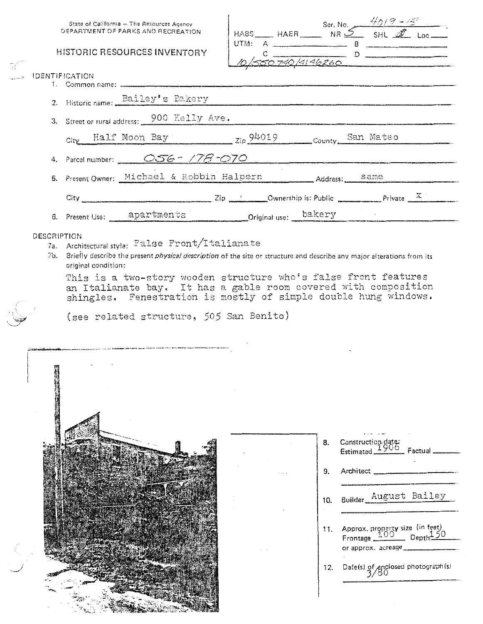# **HISTORIC RESOURCES INVE**

Half Moon Bay

| State of California - The Resources Agency<br>DEPARTMENT OF PARKS AND RECREATION | HABS_____HAER____ |         | Ser. No.<br>NR $\mathcal{2}$ | $\frac{4017}{5}$ Loc |  |  |
|----------------------------------------------------------------------------------|-------------------|---------|------------------------------|----------------------|--|--|
| <b>HISTORIC RESOURCES INVENTORY</b>                                              |                   | $UTM$ : | 740/4146260                  | 8                    |  |  |
| TIFICATION                                                                       |                   |         |                              |                      |  |  |
| Historic name: Bailey's Bakery<br>$\mathcal{D}$                                  |                   |         |                              |                      |  |  |
| 3. Street or rural address: 900 Kelly Ave.                                       |                   |         |                              |                      |  |  |

San Mateo

| 4. Parcel number: $OS6 - 778 - 070$        |                                                                                                                                                                                                                                      |  |                                                                    |             |  |
|--------------------------------------------|--------------------------------------------------------------------------------------------------------------------------------------------------------------------------------------------------------------------------------------|--|--------------------------------------------------------------------|-------------|--|
| 5. Present Owner: Michael & Robbin Halpern | <u>ing parameter all structure all the contraction of the company of the structure of the contract measurement of the contract of the contract of the contract of the contract of the contract of the contract of the contract o</u> |  | Address: Same                                                      |             |  |
| City.                                      |                                                                                                                                                                                                                                      |  | $\frac{2}{p}$ 2ip $\frac{1}{p}$ Ownership is: Public $\frac{1}{p}$ | Private $X$ |  |

 $Zip \frac{94019}{2}$  County.

6. Present Use: apartments Original use: bakery

#### **DESCRIPTION**

**IDENTIFICATION** 

City

- 7a. Architectural style: False Front/Italianate
- 7b. Briefly describe the present *physical description* of the site or structure and describe any major alterations from its original condition:

This is a two-story wooden structure who's false front features an Italianate bay. It has a gable room covered with composition shingles. Fenestration is mostly of simple double hung windows.

(see related structure, 505 San Benito)

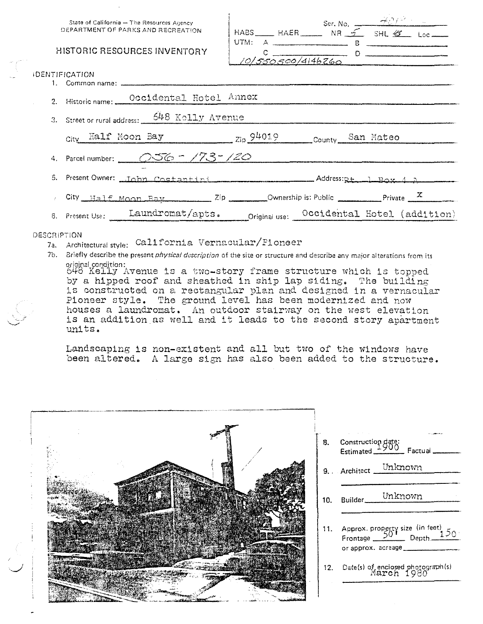State of California - The Resources Agency DEPARTMENT OF PARKS AND RECREATION

### **HISTORIC RESOURCES INVENTORY**

| UTM: | $\mathbf{A}$   | HABS _______ HAER ________ NR ______ SHL $\mathscr{G}$ _______ |  |
|------|----------------|----------------------------------------------------------------|--|
|      |                |                                                                |  |
|      | 550500/4146260 |                                                                |  |

| 2. Historic name: Occidental Hotel Annex                                          |  |  |
|-----------------------------------------------------------------------------------|--|--|
| 3. Street or rural address: 648 Kolly Avenue                                      |  |  |
| City Half Moon Bay 2ip 94019 County San Mateo                                     |  |  |
| 4. Parcel number: 056 - 173-120                                                   |  |  |
| 5. Present Owner: <u>John Costantini emmers resumed and Address: pt 1 Box 4 A</u> |  |  |
| City Half Moon Bay 2ip Ownership is: Public Private X                             |  |  |
| 6. Present Use: Laundromat/apts. Original use: Occidental Hotel (addition)        |  |  |

#### **DESCRIPTION**

**IDENTIFICATION** 

- 7a. Architectural style: California Vernacular/Pioneer
- 7b. Briefly describe the present *physical description* of the site or structure and describe any major alterations from its original condition:<br>648 Kelly Avenue is a two-story frame structure which is topped

by a hipped roof and sheathed in ship lap siding. The building is constructed on a rectangular plan and designed in a vernacular Pioneer style. The ground level has been modernized and now houses a laundromat. An outdoor stairway on the west elevation is an addition as well and it leads to the second story apartment units.

Landscaping is non-existent and all but two of the windows have been altered. A large sign has also been added to the structure.

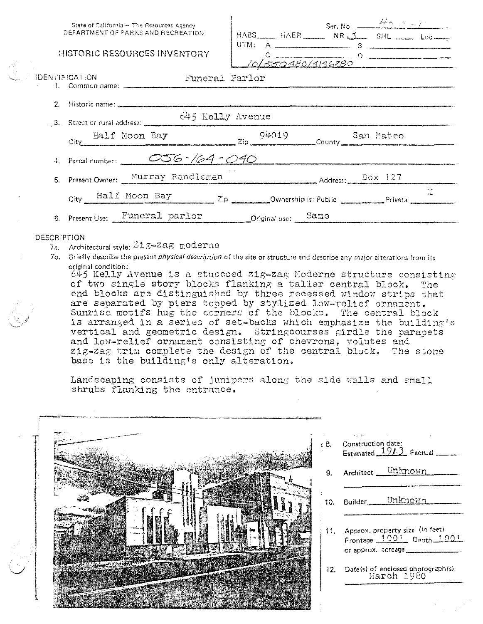|                       | State of California - The Resources Agency<br>DEPARTMENT OF PARKS AND RECREATION                |                    | Ser. No. $\frac{48.0 \times 10^{-4}}{10^{14}}$<br>HABS ___ HAER ___ NR _1 SHL __ Loc __ |    |
|-----------------------|-------------------------------------------------------------------------------------------------|--------------------|-----------------------------------------------------------------------------------------|----|
|                       | HISTORIC RESOURCES INVENTORY                                                                    |                    | $10\sqrt{\frac{c}{5500980/9196280}}$                                                    |    |
| <b>IDENTIFICATION</b> | Funeral Parlor                                                                                  |                    |                                                                                         |    |
|                       |                                                                                                 |                    |                                                                                         |    |
|                       | 645 Kelly Avenue<br>$\frac{645 \text{ KeL}}{24.5 \text{ Steet or } \text{and } \text{address}}$ |                    |                                                                                         |    |
| City                  | Ealf Moon Bay<br>$\frac{94019}{2^{ip}}$ County San Mateo                                        |                    |                                                                                         |    |
|                       | 4. Parcel number: 256-164-040                                                                   |                    |                                                                                         |    |
|                       | 5. Present Owner: Murray Randleman Murray Randleman Murray Randleman Murray Randleman           |                    |                                                                                         |    |
|                       | City Half Moon Bay Zip Ownership is: Public Privata                                             |                    |                                                                                         | Ä. |
|                       | 6. Present Use: Funeral parlor                                                                  | Criginal use: Same |                                                                                         |    |
| DESCRIPTION           |                                                                                                 |                    |                                                                                         |    |

- 7a. Architectural style: Zig-Zag moderne
- 7b. Briefly describe the present physical description of the site or structure and describe any major alterations from its original condition:

645 Kelly Avenue is a stuccoed zig-zag Moderne structure consisting of two single story blocks flanking a taller central block. The end blocks are distinguished by three recessed window strips that are separated by piers topped by stylized low-relief ornament. Sunrise motifs hug the corners of the blocks. The central block is arranged in a series of set-backs which emphasize the building's vertical and geometric design. Stringcourses girdle the parapets and low-relief ornament consisting of chevrons, volutes and zig-zag trim complete the design of the central block. The stone base is the building's only alteration.

Landscaping consists of junipers along the side walls and small shrubs flanking the entrance.